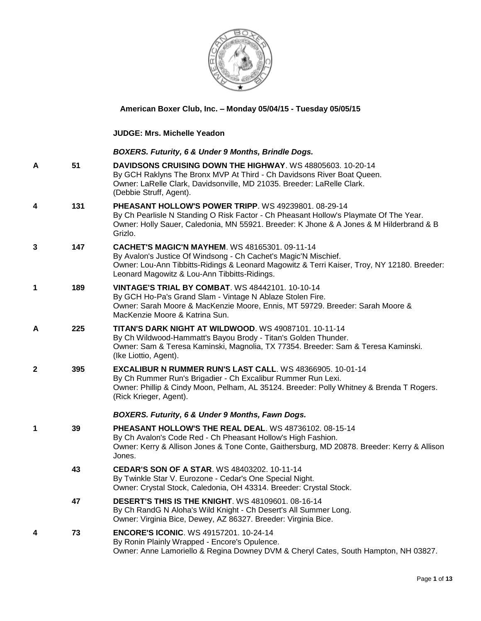

## **American Boxer Club, Inc. – Monday 05/04/15 - Tuesday 05/05/15**

**JUDGE: [Mrs. Michelle Yeadon](http://infodog.com/show/judge/jdgprofile.htm?jn=2062)**

## *BOXERS. Futurity, 6 & Under 9 Months, Brindle Dogs.*

|   |     | BOXERS. Futurity, 6 & Under 9 Months, Brindle Dogs.                                                                                                                                                                                                              |
|---|-----|------------------------------------------------------------------------------------------------------------------------------------------------------------------------------------------------------------------------------------------------------------------|
| А | 51  | <b>DAVIDSONS CRUISING DOWN THE HIGHWAY.</b> WS 48805603, 10-20-14<br>By GCH Raklyns The Bronx MVP At Third - Ch Davidsons River Boat Queen.<br>Owner: LaRelle Clark, Davidsonville, MD 21035. Breeder: LaRelle Clark.<br>(Debbie Struff, Agent).                 |
| 4 | 131 | PHEASANT HOLLOW'S POWER TRIPP. WS 49239801. 08-29-14<br>By Ch Pearlisle N Standing O Risk Factor - Ch Pheasant Hollow's Playmate Of The Year.<br>Owner: Holly Sauer, Caledonia, MN 55921. Breeder: K Jhone & A Jones & M Hilderbrand & B<br>Grizlo.              |
| 3 | 147 | CACHET'S MAGIC'N MAYHEM. WS 48165301. 09-11-14<br>By Avalon's Justice Of Windsong - Ch Cachet's Magic'N Mischief.<br>Owner: Lou-Ann Tibbitts-Ridings & Leonard Magowitz & Terri Kaiser, Troy, NY 12180. Breeder:<br>Leonard Magowitz & Lou-Ann Tibbitts-Ridings. |
| 1 | 189 | <b>VINTAGE'S TRIAL BY COMBAT.</b> WS 48442101. 10-10-14<br>By GCH Ho-Pa's Grand Slam - Vintage N Ablaze Stolen Fire.<br>Owner: Sarah Moore & MacKenzie Moore, Ennis, MT 59729. Breeder: Sarah Moore &<br>MacKenzie Moore & Katrina Sun.                          |
| Α | 225 | <b>TITAN'S DARK NIGHT AT WILDWOOD.</b> WS 49087101, 10-11-14<br>By Ch Wildwood-Hammatt's Bayou Brody - Titan's Golden Thunder.<br>Owner: Sam & Teresa Kaminski, Magnolia, TX 77354. Breeder: Sam & Teresa Kaminski.<br>(Ike Liottio, Agent).                     |
| 2 | 395 | EXCALIBUR N RUMMER RUN'S LAST CALL. WS 48366905. 10-01-14<br>By Ch Rummer Run's Brigadier - Ch Excalibur Rummer Run Lexi.<br>Owner: Phillip & Cindy Moon, Pelham, AL 35124. Breeder: Polly Whitney & Brenda T Rogers.<br>(Rick Krieger, Agent).                  |
|   |     | BOXERS. Futurity, 6 & Under 9 Months, Fawn Dogs.                                                                                                                                                                                                                 |
| 1 | 39  | PHEASANT HOLLOW'S THE REAL DEAL. WS 48736102. 08-15-14<br>By Ch Avalon's Code Red - Ch Pheasant Hollow's High Fashion.<br>Owner: Kerry & Allison Jones & Tone Conte, Gaithersburg, MD 20878. Breeder: Kerry & Allison<br>Jones.                                  |
|   | 43  | CEDAR'S SON OF A STAR. WS 48403202. 10-11-14<br>By Twinkle Star V. Eurozone - Cedar's One Special Night.<br>Owner: Crystal Stock, Caledonia, OH 43314. Breeder: Crystal Stock.                                                                                   |
|   | 47  | <b>DESERT'S THIS IS THE KNIGHT. WS 48109601. 08-16-14</b><br>By Ch RandG N Aloha's Wild Knight - Ch Desert's All Summer Long.<br>Owner: Virginia Bice, Dewey, AZ 86327. Breeder: Virginia Bice.                                                                  |
| 4 | 73  | <b>ENCORE'S ICONIC. WS 49157201. 10-24-14</b><br>By Ronin Plainly Wrapped - Encore's Opulence.<br>Owner: Anne Lamoriello & Regina Downey DVM & Cheryl Cates, South Hampton, NH 03827.                                                                            |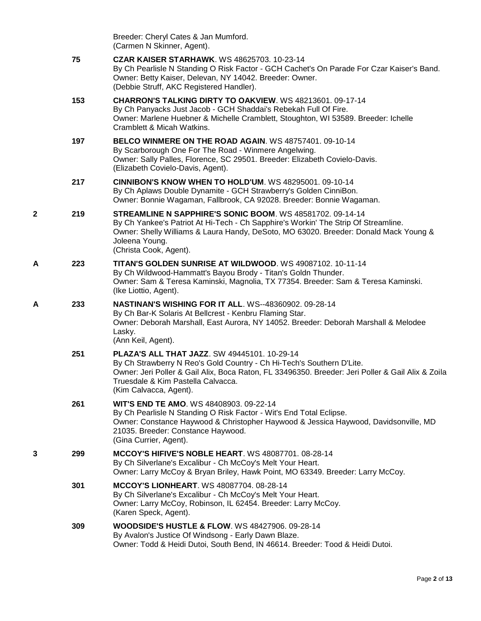|   |     | Breeder: Cheryl Cates & Jan Mumford.<br>(Carmen N Skinner, Agent).                                                                                                                                                                                                                                |
|---|-----|---------------------------------------------------------------------------------------------------------------------------------------------------------------------------------------------------------------------------------------------------------------------------------------------------|
|   | 75  | <b>CZAR KAISER STARHAWK.</b> WS 48625703. 10-23-14<br>By Ch Pearlisle N Standing O Risk Factor - GCH Cachet's On Parade For Czar Kaiser's Band.<br>Owner: Betty Kaiser, Delevan, NY 14042. Breeder: Owner.<br>(Debbie Struff, AKC Registered Handler).                                            |
|   | 153 | CHARRON'S TALKING DIRTY TO OAKVIEW. WS 48213601. 09-17-14<br>By Ch Panyacks Just Jacob - GCH Shaddai's Rebekah Full Of Fire.<br>Owner: Marlene Huebner & Michelle Cramblett, Stoughton, WI 53589. Breeder: Ichelle<br>Cramblett & Micah Watkins.                                                  |
|   | 197 | BELCO WINMERE ON THE ROAD AGAIN. WS 48757401, 09-10-14<br>By Scarborough One For The Road - Winmere Angelwing.<br>Owner: Sally Palles, Florence, SC 29501. Breeder: Elizabeth Covielo-Davis.<br>(Elizabeth Covielo-Davis, Agent).                                                                 |
|   | 217 | <b>CINNIBON'S KNOW WHEN TO HOLD'UM. WS 48295001. 09-10-14</b><br>By Ch Aplaws Double Dynamite - GCH Strawberry's Golden CinniBon.<br>Owner: Bonnie Wagaman, Fallbrook, CA 92028. Breeder: Bonnie Wagaman.                                                                                         |
| 2 | 219 | STREAMLINE N SAPPHIRE'S SONIC BOOM. WS 48581702. 09-14-14<br>By Ch Yankee's Patriot At Hi-Tech - Ch Sapphire's Workin' The Strip Of Streamline.<br>Owner: Shelly Williams & Laura Handy, DeSoto, MO 63020. Breeder: Donald Mack Young &<br>Joleena Young.<br>(Christa Cook, Agent).               |
| A | 223 | TITAN'S GOLDEN SUNRISE AT WILDWOOD. WS 49087102. 10-11-14<br>By Ch Wildwood-Hammatt's Bayou Brody - Titan's Goldn Thunder.<br>Owner: Sam & Teresa Kaminski, Magnolia, TX 77354. Breeder: Sam & Teresa Kaminski.<br>(Ike Liottio, Agent).                                                          |
| Α | 233 | <b>NASTINAN'S WISHING FOR IT ALL. WS--48360902. 09-28-14</b><br>By Ch Bar-K Solaris At Bellcrest - Kenbru Flaming Star.<br>Owner: Deborah Marshall, East Aurora, NY 14052. Breeder: Deborah Marshall & Melodee<br>Lasky.<br>(Ann Keil, Agent).                                                    |
|   | 251 | <b>PLAZA'S ALL THAT JAZZ. SW 49445101. 10-29-14</b><br>By Ch Strawberry N Reo's Gold Country - Ch Hi-Tech's Southern D'Lite.<br>Owner: Jeri Poller & Gail Alix, Boca Raton, FL 33496350. Breeder: Jeri Poller & Gail Alix & Zoila<br>Truesdale & Kim Pastella Calvacca.<br>(Kim Calvacca, Agent). |
|   | 261 | <b>WIT'S END TE AMO. WS 48408903. 09-22-14</b><br>By Ch Pearlisle N Standing O Risk Factor - Wit's End Total Eclipse.<br>Owner: Constance Haywood & Christopher Haywood & Jessica Haywood, Davidsonville, MD<br>21035. Breeder: Constance Haywood.<br>(Gina Currier, Agent).                      |
| 3 | 299 | <b>MCCOY'S HIFIVE'S NOBLE HEART. WS 48087701. 08-28-14</b><br>By Ch Silverlane's Excalibur - Ch McCoy's Melt Your Heart.<br>Owner: Larry McCoy & Bryan Briley, Hawk Point, MO 63349. Breeder: Larry McCoy.                                                                                        |
|   | 301 | <b>MCCOY'S LIONHEART. WS 48087704. 08-28-14</b><br>By Ch Silverlane's Excalibur - Ch McCoy's Melt Your Heart.<br>Owner: Larry McCoy, Robinson, IL 62454. Breeder: Larry McCoy.<br>(Karen Speck, Agent).                                                                                           |
|   | 309 | <b>WOODSIDE'S HUSTLE &amp; FLOW.</b> WS 48427906. 09-28-14<br>By Avalon's Justice Of Windsong - Early Dawn Blaze.<br>Owner: Todd & Heidi Dutoi, South Bend, IN 46614. Breeder: Tood & Heidi Dutoi.                                                                                                |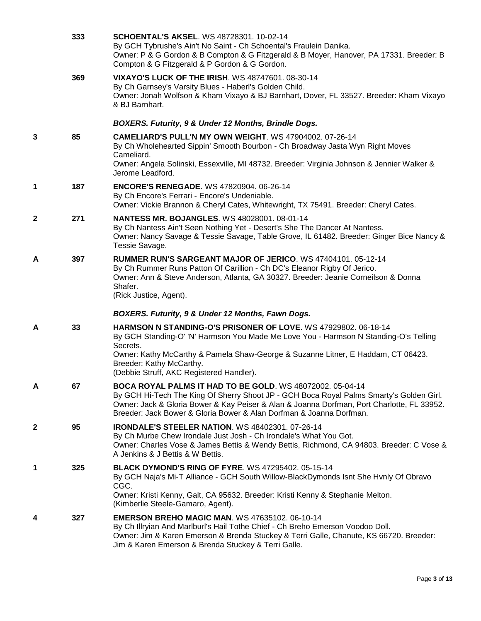|              | 333 | <b>SCHOENTAL'S AKSEL. WS 48728301. 10-02-14</b><br>By GCH Tybrushe's Ain't No Saint - Ch Schoental's Fraulein Danika.<br>Owner: P & G Gordon & B Compton & G Fitzgerald & B Moyer, Hanover, PA 17331. Breeder: B<br>Compton & G Fitzgerald & P Gordon & G Gordon.                                                                     |
|--------------|-----|---------------------------------------------------------------------------------------------------------------------------------------------------------------------------------------------------------------------------------------------------------------------------------------------------------------------------------------|
|              | 369 | <b>VIXAYO'S LUCK OF THE IRISH. WS 48747601. 08-30-14</b><br>By Ch Garnsey's Varsity Blues - Haberl's Golden Child.<br>Owner: Jonah Wolfson & Kham Vixayo & BJ Barnhart, Dover, FL 33527. Breeder: Kham Vixayo<br>& BJ Barnhart.                                                                                                       |
|              |     | BOXERS. Futurity, 9 & Under 12 Months, Brindle Dogs.                                                                                                                                                                                                                                                                                  |
| 3            | 85  | <b>CAMELIARD'S PULL'N MY OWN WEIGHT.</b> WS 47904002, 07-26-14<br>By Ch Wholehearted Sippin' Smooth Bourbon - Ch Broadway Jasta Wyn Right Moves<br>Cameliard.<br>Owner: Angela Solinski, Essexville, MI 48732. Breeder: Virginia Johnson & Jennier Walker &                                                                           |
|              |     | Jerome Leadford.                                                                                                                                                                                                                                                                                                                      |
| 1            | 187 | <b>ENCORE'S RENEGADE.</b> WS 47820904, 06-26-14<br>By Ch Encore's Ferrari - Encore's Undeniable.<br>Owner: Vickie Brannon & Cheryl Cates, Whitewright, TX 75491. Breeder: Cheryl Cates.                                                                                                                                               |
| $\mathbf{2}$ | 271 | <b>NANTESS MR. BOJANGLES. WS 48028001. 08-01-14</b><br>By Ch Nantess Ain't Seen Nothing Yet - Desert's She The Dancer At Nantess.<br>Owner: Nancy Savage & Tessie Savage, Table Grove, IL 61482. Breeder: Ginger Bice Nancy &<br>Tessie Savage.                                                                                       |
| A            | 397 | RUMMER RUN'S SARGEANT MAJOR OF JERICO. WS 47404101. 05-12-14<br>By Ch Rummer Runs Patton Of Carillion - Ch DC's Eleanor Rigby Of Jerico.<br>Owner: Ann & Steve Anderson, Atlanta, GA 30327. Breeder: Jeanie Corneilson & Donna<br>Shafer.<br>(Rick Justice, Agent).                                                                   |
|              |     | BOXERS. Futurity, 9 & Under 12 Months, Fawn Dogs.                                                                                                                                                                                                                                                                                     |
| A            | 33  | <b>HARMSON N STANDING-O'S PRISONER OF LOVE.</b> WS 47929802, 06-18-14<br>By GCH Standing-O' 'N' Harmson You Made Me Love You - Harmson N Standing-O's Telling<br>Secrets.<br>Owner: Kathy McCarthy & Pamela Shaw-George & Suzanne Litner, E Haddam, CT 06423.<br>Breeder: Kathy McCarthy.<br>(Debbie Struff, AKC Registered Handler). |
| A            | 67  | <b>BOCA ROYAL PALMS IT HAD TO BE GOLD. WS 48072002. 05-04-14</b><br>By GCH Hi-Tech The King Of Sherry Shoot JP - GCH Boca Royal Palms Smarty's Golden Girl.<br>Owner: Jack & Gloria Bower & Kay Peiser & Alan & Joanna Dorfman, Port Charlotte, FL 33952.<br>Breeder: Jack Bower & Gloria Bower & Alan Dorfman & Joanna Dorfman.      |
| $\mathbf{2}$ | 95  | <b>IRONDALE'S STEELER NATION.</b> WS 48402301. 07-26-14<br>By Ch Murbe Chew Irondale Just Josh - Ch Irondale's What You Got.<br>Owner: Charles Vose & James Bettis & Wendy Bettis, Richmond, CA 94803. Breeder: C Vose &<br>A Jenkins & J Bettis & W Bettis.                                                                          |
| 1            | 325 | <b>BLACK DYMOND'S RING OF FYRE. WS 47295402. 05-15-14</b><br>By GCH Naja's Mi-T Alliance - GCH South Willow-BlackDymonds Isnt She Hvnly Of Obravo<br>CGC.<br>Owner: Kristi Kenny, Galt, CA 95632. Breeder: Kristi Kenny & Stephanie Melton.<br>(Kimberlie Steele-Gamaro, Agent).                                                      |
| 4            | 327 | <b>EMERSON BREHO MAGIC MAN. WS 47635102. 06-10-14</b><br>By Ch Illryian And Marlburl's Hail Tothe Chief - Ch Breho Emerson Voodoo Doll.<br>Owner: Jim & Karen Emerson & Brenda Stuckey & Terri Galle, Chanute, KS 66720. Breeder:<br>Jim & Karen Emerson & Brenda Stuckey & Terri Galle.                                              |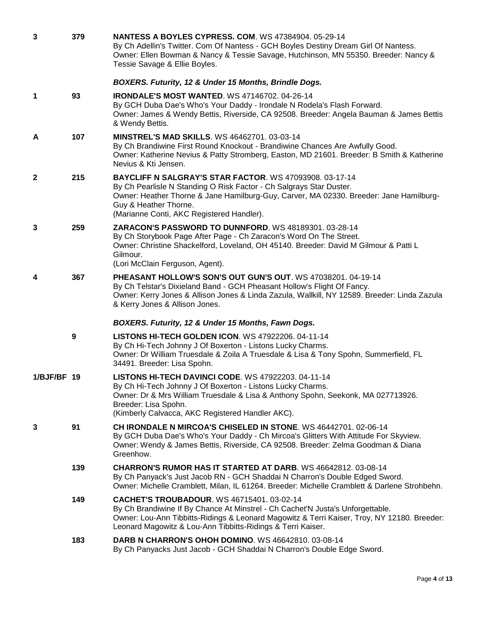| 3            | 379 | <b>NANTESS A BOYLES CYPRESS, COM, WS 47384904, 05-29-14</b><br>By Ch Adellin's Twitter. Com Of Nantess - GCH Boyles Destiny Dream Girl Of Nantess.<br>Owner: Ellen Bowman & Nancy & Tessie Savage, Hutchinson, MN 55350. Breeder: Nancy &<br>Tessie Savage & Ellie Boyles.                     |
|--------------|-----|------------------------------------------------------------------------------------------------------------------------------------------------------------------------------------------------------------------------------------------------------------------------------------------------|
|              |     | BOXERS. Futurity, 12 & Under 15 Months, Brindle Dogs.                                                                                                                                                                                                                                          |
| 1            | 93  | <b>IRONDALE'S MOST WANTED.</b> WS 47146702. 04-26-14<br>By GCH Duba Dae's Who's Your Daddy - Irondale N Rodela's Flash Forward.<br>Owner: James & Wendy Bettis, Riverside, CA 92508. Breeder: Angela Bauman & James Bettis<br>& Wendy Bettis.                                                  |
| A            | 107 | <b>MINSTREL'S MAD SKILLS. WS 46462701. 03-03-14</b><br>By Ch Brandiwine First Round Knockout - Brandiwine Chances Are Awfully Good.<br>Owner: Katherine Nevius & Patty Stromberg, Easton, MD 21601. Breeder: B Smith & Katherine<br>Nevius & Kti Jensen.                                       |
| $\mathbf{2}$ | 215 | BAYCLIFF N SALGRAY'S STAR FACTOR. WS 47093908. 03-17-14<br>By Ch Pearlisle N Standing O Risk Factor - Ch Salgrays Star Duster.<br>Owner: Heather Thorne & Jane Hamilburg-Guy, Carver, MA 02330. Breeder: Jane Hamilburg-<br>Guy & Heather Thorne.<br>(Marianne Conti, AKC Registered Handler). |
| 3            | 259 | ZARACON'S PASSWORD TO DUNNFORD. WS 48189301. 03-28-14<br>By Ch Storybook Page After Page - Ch Zaracon's Word On The Street.<br>Owner: Christine Shackelford, Loveland, OH 45140. Breeder: David M Gilmour & Patti L<br>Gilmour.<br>(Lori McClain Ferguson, Agent).                             |
| 4            | 367 | PHEASANT HOLLOW'S SON'S OUT GUN'S OUT. WS 47038201. 04-19-14<br>By Ch Telstar's Dixieland Band - GCH Pheasant Hollow's Flight Of Fancy.<br>Owner: Kerry Jones & Allison Jones & Linda Zazula, Wallkill, NY 12589. Breeder: Linda Zazula<br>& Kerry Jones & Allison Jones.                      |
|              |     | BOXERS. Futurity, 12 & Under 15 Months, Fawn Dogs.                                                                                                                                                                                                                                             |
|              | 9   | <b>LISTONS HI-TECH GOLDEN ICON. WS 47922206. 04-11-14</b><br>By Ch Hi-Tech Johnny J Of Boxerton - Listons Lucky Charms.<br>Owner: Dr William Truesdale & Zoila A Truesdale & Lisa & Tony Spohn, Summerfield, FL<br>34491. Breeder: Lisa Spohn.                                                 |
| 1/BJF/BF 19  |     | <b>LISTONS HI-TECH DAVINCI CODE. WS 47922203. 04-11-14</b><br>By Ch Hi-Tech Johnny J Of Boxerton - Listons Lucky Charms.<br>Owner: Dr & Mrs William Truesdale & Lisa & Anthony Spohn, Seekonk, MA 027713926.<br>Breeder: Lisa Spohn.<br>(Kimberly Calvacca, AKC Registered Handler AKC).       |
| 3            | 91  | CH IRONDALE N MIRCOA'S CHISELED IN STONE. WS 46442701. 02-06-14<br>By GCH Duba Dae's Who's Your Daddy - Ch Mircoa's Glitters With Attitude For Skyview.<br>Owner: Wendy & James Bettis, Riverside, CA 92508. Breeder: Zelma Goodman & Diana<br>Greenhow.                                       |
|              | 139 | <b>CHARRON'S RUMOR HAS IT STARTED AT DARB.</b> WS 46642812, 03-08-14<br>By Ch Panyack's Just Jacob RN - GCH Shaddai N Charron's Double Edged Sword.<br>Owner: Michelle Cramblett, Milan, IL 61264. Breeder: Michelle Cramblett & Darlene Strohbehn.                                            |
|              | 149 | CACHET'S TROUBADOUR. WS 46715401. 03-02-14<br>By Ch Brandiwine If By Chance At Minstrel - Ch Cachet'N Justa's Unforgettable.<br>Owner: Lou-Ann Tibbitts-Ridings & Leonard Magowitz & Terri Kaiser, Troy, NY 12180. Breeder:<br>Leonard Magowitz & Lou-Ann Tibbitts-Ridings & Terri Kaiser.     |
|              | 183 | DARB N CHARRON'S OHOH DOMINO. WS 46642810. 03-08-14<br>By Ch Panyacks Just Jacob - GCH Shaddai N Charron's Double Edge Sword.                                                                                                                                                                  |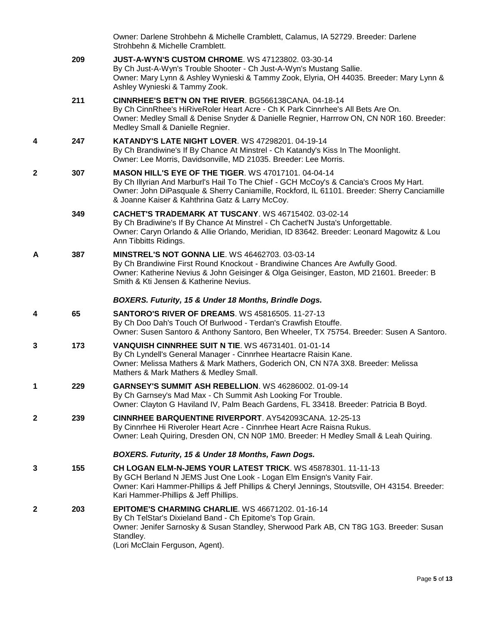|              |     | Owner: Darlene Strohbehn & Michelle Cramblett, Calamus, IA 52729. Breeder: Darlene<br>Strohbehn & Michelle Cramblett.                                                                                                                                                                                   |
|--------------|-----|---------------------------------------------------------------------------------------------------------------------------------------------------------------------------------------------------------------------------------------------------------------------------------------------------------|
|              | 209 | <b>JUST-A-WYN'S CUSTOM CHROME. WS 47123802. 03-30-14</b><br>By Ch Just-A-Wyn's Trouble Shooter - Ch Just-A-Wyn's Mustang Sallie.<br>Owner: Mary Lynn & Ashley Wynieski & Tammy Zook, Elyria, OH 44035. Breeder: Mary Lynn &<br>Ashley Wynieski & Tammy Zook.                                            |
|              | 211 | <b>CINNRHEE'S BET'N ON THE RIVER. BG566138CANA. 04-18-14</b><br>By Ch CinnRhee's HiRiveRoler Heart Acre - Ch K Park Cinnrhee's All Bets Are On.<br>Owner: Medley Small & Denise Snyder & Danielle Regnier, Harrrow ON, CN N0R 160. Breeder:<br>Medley Small & Danielle Regnier.                         |
| 4            | 247 | <b>KATANDY'S LATE NIGHT LOVER. WS 47298201.04-19-14</b><br>By Ch Brandiwine's If By Chance At Minstrel - Ch Katandy's Kiss In The Moonlight.<br>Owner: Lee Morris, Davidsonville, MD 21035. Breeder: Lee Morris.                                                                                        |
| $\mathbf{2}$ | 307 | <b>MASON HILL'S EYE OF THE TIGER. WS 47017101. 04-04-14</b><br>By Ch Illyrian And Marburl's Hail To The Chief - GCH McCoy's & Cancia's Croos My Hart.<br>Owner: John DiPasquale & Sherry Caniamille, Rockford, IL 61101. Breeder: Sherry Canciamille<br>& Joanne Kaiser & Kahthrina Gatz & Larry McCoy. |
|              | 349 | CACHET'S TRADEMARK AT TUSCANY, WS 46715402, 03-02-14<br>By Ch Bradiwine's If By Chance At Minstrel - Ch Cachet'N Justa's Unforgettable.<br>Owner: Caryn Orlando & Allie Orlando, Meridian, ID 83642. Breeder: Leonard Magowitz & Lou<br>Ann Tibbitts Ridings.                                           |
| A            | 387 | <b>MINSTREL'S NOT GONNA LIE. WS 46462703. 03-03-14</b><br>By Ch Brandiwine First Round Knockout - Brandiwine Chances Are Awfully Good.<br>Owner: Katherine Nevius & John Geisinger & Olga Geisinger, Easton, MD 21601. Breeder: B<br>Smith & Kti Jensen & Katherine Nevius.                             |
|              |     | BOXERS. Futurity, 15 & Under 18 Months, Brindle Dogs.                                                                                                                                                                                                                                                   |
|              |     |                                                                                                                                                                                                                                                                                                         |
| 4            | 65  | <b>SANTORO'S RIVER OF DREAMS. WS 45816505. 11-27-13</b><br>By Ch Doo Dah's Touch Of Burlwood - Terdan's Crawfish Etouffe.<br>Owner: Susen Santoro & Anthony Santoro, Ben Wheeler, TX 75754. Breeder: Susen A Santoro.                                                                                   |
| 3            | 173 | VANQUISH CINNRHEE SUIT N TIE. WS 46731401, 01-01-14<br>By Ch Lyndell's General Manager - Cinnrhee Heartacre Raisin Kane.<br>Owner: Melissa Mathers & Mark Mathers, Goderich ON, CN N7A 3X8. Breeder: Melissa<br>Mathers & Mark Mathers & Medley Small.                                                  |
| 1            | 229 | <b>GARNSEY'S SUMMIT ASH REBELLION. WS 46286002. 01-09-14</b><br>By Ch Garnsey's Mad Max - Ch Summit Ash Looking For Trouble.<br>Owner: Clayton G Haviland IV, Palm Beach Gardens, FL 33418. Breeder: Patricia B Boyd.                                                                                   |
| $\mathbf{2}$ | 239 | <b>CINNRHEE BARQUENTINE RIVERPORT. AY542093CANA. 12-25-13</b><br>By Cinnrhee Hi Riveroler Heart Acre - Cinnrhee Heart Acre Raisna Rukus.<br>Owner: Leah Quiring, Dresden ON, CN N0P 1M0. Breeder: H Medley Small & Leah Quiring.                                                                        |
|              |     | BOXERS. Futurity, 15 & Under 18 Months, Fawn Dogs.                                                                                                                                                                                                                                                      |
| 3            | 155 | <b>CH LOGAN ELM-N-JEMS YOUR LATEST TRICK. WS 45878301. 11-11-13</b><br>By GCH Berland N JEMS Just One Look - Logan Elm Ensign's Vanity Fair.<br>Owner: Kari Hammer-Phillips & Jeff Phillips & Cheryl Jennings, Stoutsville, OH 43154. Breeder:<br>Kari Hammer-Phillips & Jeff Phillips.                 |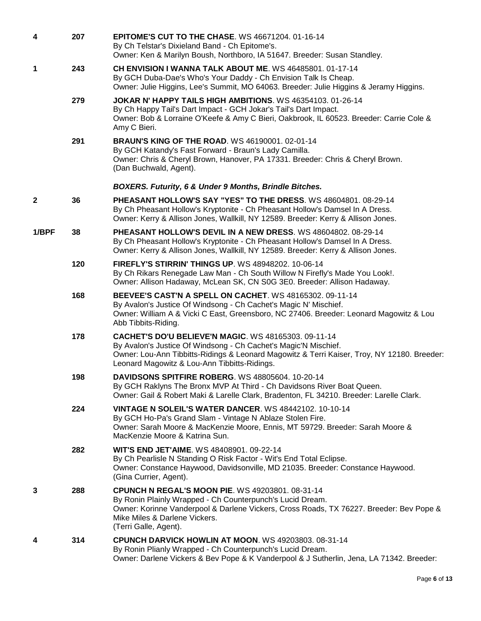| 4            | 207 | <b>EPITOME'S CUT TO THE CHASE. WS 46671204. 01-16-14</b><br>By Ch Telstar's Dixieland Band - Ch Epitome's.<br>Owner: Ken & Marilyn Boush, Northboro, IA 51647. Breeder: Susan Standley.                                                                                       |
|--------------|-----|-------------------------------------------------------------------------------------------------------------------------------------------------------------------------------------------------------------------------------------------------------------------------------|
| 1            | 243 | CH ENVISION I WANNA TALK ABOUT ME. WS 46485801. 01-17-14<br>By GCH Duba-Dae's Who's Your Daddy - Ch Envision Talk Is Cheap.<br>Owner: Julie Higgins, Lee's Summit, MO 64063. Breeder: Julie Higgins & Jeramy Higgins.                                                         |
|              | 279 | JOKAR N' HAPPY TAILS HIGH AMBITIONS. WS 46354103. 01-26-14<br>By Ch Happy Tail's Dart Impact - GCH Jokar's Tail's Dart Impact.<br>Owner: Bob & Lorraine O'Keefe & Amy C Bieri, Oakbrook, IL 60523. Breeder: Carrie Cole &<br>Amy C Bieri.                                     |
|              | 291 | <b>BRAUN'S KING OF THE ROAD.</b> WS 46190001. 02-01-14<br>By GCH Katandy's Fast Forward - Braun's Lady Camilla.<br>Owner: Chris & Cheryl Brown, Hanover, PA 17331. Breeder: Chris & Cheryl Brown.<br>(Dan Buchwald, Agent).                                                   |
|              |     | BOXERS. Futurity, 6 & Under 9 Months, Brindle Bitches.                                                                                                                                                                                                                        |
| $\mathbf{2}$ | 36  | PHEASANT HOLLOW'S SAY "YES" TO THE DRESS, WS 48604801, 08-29-14<br>By Ch Pheasant Hollow's Kryptonite - Ch Pheasant Hollow's Damsel In A Dress.<br>Owner: Kerry & Allison Jones, Wallkill, NY 12589. Breeder: Kerry & Allison Jones.                                          |
| 1/BPF        | 38  | <b>PHEASANT HOLLOW'S DEVIL IN A NEW DRESS.</b> WS 48604802, 08-29-14<br>By Ch Pheasant Hollow's Kryptonite - Ch Pheasant Hollow's Damsel In A Dress.<br>Owner: Kerry & Allison Jones, Wallkill, NY 12589. Breeder: Kerry & Allison Jones.                                     |
|              | 120 | <b>FIREFLY'S STIRRIN' THINGS UP. WS 48948202. 10-06-14</b><br>By Ch Rikars Renegade Law Man - Ch South Willow N Firefly's Made You Look!.<br>Owner: Allison Hadaway, McLean SK, CN S0G 3E0. Breeder: Allison Hadaway.                                                         |
|              | 168 | BEEVEE'S CAST'N A SPELL ON CACHET. WS 48165302. 09-11-14<br>By Avalon's Justice Of Windsong - Ch Cachet's Magic N' Mischief.<br>Owner: William A & Vicki C East, Greensboro, NC 27406. Breeder: Leonard Magowitz & Lou<br>Abb Tibbits-Riding.                                 |
|              | 178 | <b>CACHET'S DO'U BELIEVE'N MAGIC. WS 48165303. 09-11-14</b><br>By Avalon's Justice Of Windsong - Ch Cachet's Magic'N Mischief.<br>Owner: Lou-Ann Tibbitts-Ridings & Leonard Magowitz & Terri Kaiser, Troy, NY 12180. Breeder:<br>Leonard Magowitz & Lou-Ann Tibbitts-Ridings. |
|              | 198 | DAVIDSONS SPITFIRE ROBERG. WS 48805604. 10-20-14<br>By GCH Raklyns The Bronx MVP At Third - Ch Davidsons River Boat Queen.<br>Owner: Gail & Robert Maki & Larelle Clark, Bradenton, FL 34210. Breeder: Larelle Clark.                                                         |
|              | 224 | <b>VINTAGE N SOLEIL'S WATER DANCER. WS 48442102. 10-10-14</b><br>By GCH Ho-Pa's Grand Slam - Vintage N Ablaze Stolen Fire.<br>Owner: Sarah Moore & MacKenzie Moore, Ennis, MT 59729. Breeder: Sarah Moore &<br>MacKenzie Moore & Katrina Sun.                                 |
|              | 282 | WIT'S END JET'AIME. WS 48408901. 09-22-14<br>By Ch Pearlisle N Standing O Risk Factor - Wit's End Total Eclipse.<br>Owner: Constance Haywood, Davidsonville, MD 21035. Breeder: Constance Haywood.<br>(Gina Currier, Agent).                                                  |
| 3            | 288 | <b>CPUNCH N REGAL'S MOON PIE. WS 49203801. 08-31-14</b><br>By Ronin Plainly Wrapped - Ch Counterpunch's Lucid Dream.<br>Owner: Korinne Vanderpool & Darlene Vickers, Cross Roads, TX 76227. Breeder: Bev Pope &<br>Mike Miles & Darlene Vickers.<br>(Terri Galle, Agent).     |
| 4            | 314 | CPUNCH DARVICK HOWLIN AT MOON. WS 49203803. 08-31-14<br>By Ronin Plianly Wrapped - Ch Counterpunch's Lucid Dream.<br>Owner: Darlene Vickers & Bev Pope & K Vanderpool & J Sutherlin, Jena, LA 71342. Breeder:                                                                 |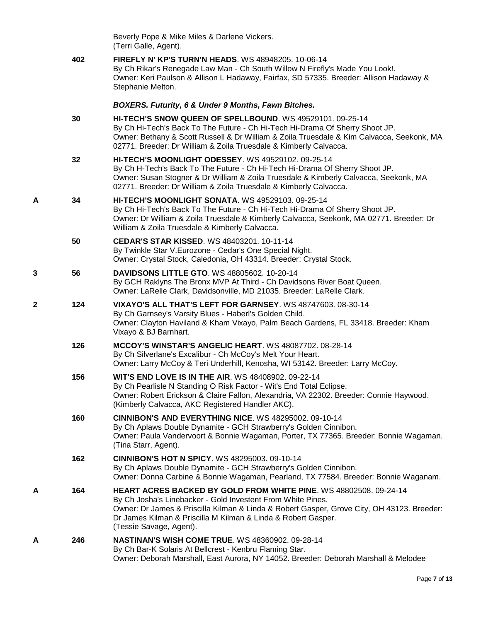|   |     | Beverly Pope & Mike Miles & Darlene Vickers.<br>(Terri Galle, Agent).                                                                                                                                                                                                                                                      |
|---|-----|----------------------------------------------------------------------------------------------------------------------------------------------------------------------------------------------------------------------------------------------------------------------------------------------------------------------------|
|   | 402 | <b>FIREFLY N' KP'S TURN'N HEADS.</b> WS 48948205, 10-06-14<br>By Ch Rikar's Renegade Law Man - Ch South Willow N Firefly's Made You Look!.<br>Owner: Keri Paulson & Allison L Hadaway, Fairfax, SD 57335. Breeder: Allison Hadaway &<br>Stephanie Melton.                                                                  |
|   |     | <b>BOXERS. Futurity, 6 &amp; Under 9 Months, Fawn Bitches.</b>                                                                                                                                                                                                                                                             |
|   | 30  | HI-TECH'S SNOW QUEEN OF SPELLBOUND. WS 49529101, 09-25-14<br>By Ch Hi-Tech's Back To The Future - Ch Hi-Tech Hi-Drama Of Sherry Shoot JP.<br>Owner: Bethany & Scott Russell & Dr William & Zoila Truesdale & Kim Calvacca, Seekonk, MA<br>02771. Breeder: Dr William & Zoila Truesdale & Kimberly Calvacca.                |
|   | 32  | <b>HI-TECH'S MOONLIGHT ODESSEY.</b> WS 49529102. 09-25-14<br>By Ch H-Tech's Back To The Future - Ch Hi-Tech Hi-Drama Of Sherry Shoot JP.<br>Owner: Susan Stogner & Dr William & Zoila Truesdale & Kimberly Calvacca, Seekonk, MA<br>02771. Breeder: Dr William & Zoila Truesdale & Kimberly Calvacca.                      |
| A | 34  | <b>HI-TECH'S MOONLIGHT SONATA. WS 49529103. 09-25-14</b><br>By Ch Hi-Tech's Back To The Future - Ch Hi-Tech Hi-Drama Of Sherry Shoot JP.<br>Owner: Dr William & Zoila Truesdale & Kimberly Calvacca, Seekonk, MA 02771. Breeder: Dr<br>William & Zoila Truesdale & Kimberly Calvacca.                                      |
|   | 50  | <b>CEDAR'S STAR KISSED. WS 48403201. 10-11-14</b><br>By Twinkle Star V. Eurozone - Cedar's One Special Night.<br>Owner: Crystal Stock, Caledonia, OH 43314. Breeder: Crystal Stock.                                                                                                                                        |
| 3 | 56  | <b>DAVIDSONS LITTLE GTO. WS 48805602. 10-20-14</b><br>By GCH Raklyns The Bronx MVP At Third - Ch Davidsons River Boat Queen.<br>Owner: LaRelle Clark, Davidsonville, MD 21035. Breeder: LaRelle Clark.                                                                                                                     |
| 2 | 124 | <b>VIXAYO'S ALL THAT'S LEFT FOR GARNSEY.</b> WS 48747603. 08-30-14<br>By Ch Garnsey's Varsity Blues - Haberl's Golden Child.<br>Owner: Clayton Haviland & Kham Vixayo, Palm Beach Gardens, FL 33418. Breeder: Kham<br>Vixayo & BJ Barnhart.                                                                                |
|   | 126 | MCCOY'S WINSTAR'S ANGELIC HEART. WS 48087702. 08-28-14<br>By Ch Silverlane's Excalibur - Ch McCoy's Melt Your Heart.<br>Owner: Larry McCoy & Teri Underhill, Kenosha, WI 53142. Breeder: Larry McCoy.                                                                                                                      |
|   | 156 | <b>WIT'S END LOVE IS IN THE AIR. WS 48408902. 09-22-14</b><br>By Ch Pearlisle N Standing O Risk Factor - Wit's End Total Eclipse.<br>Owner: Robert Erickson & Claire Fallon, Alexandria, VA 22302. Breeder: Connie Haywood.<br>(Kimberly Calvacca, AKC Registered Handler AKC).                                            |
|   | 160 | <b>CINNIBON'S AND EVERYTHING NICE. WS 48295002, 09-10-14</b><br>By Ch Aplaws Double Dynamite - GCH Strawberry's Golden Cinnibon.<br>Owner: Paula Vandervoort & Bonnie Wagaman, Porter, TX 77365. Breeder: Bonnie Wagaman.<br>(Tina Starr, Agent).                                                                          |
|   | 162 | <b>CINNIBON'S HOT N SPICY. WS 48295003. 09-10-14</b><br>By Ch Aplaws Double Dynamite - GCH Strawberry's Golden Cinnibon.<br>Owner: Donna Carbine & Bonnie Wagaman, Pearland, TX 77584. Breeder: Bonnie Waganam.                                                                                                            |
| A | 164 | HEART ACRES BACKED BY GOLD FROM WHITE PINE. WS 48802508. 09-24-14<br>By Ch Josha's Linebacker - Gold Investent From White Pines.<br>Owner: Dr James & Priscilla Kilman & Linda & Robert Gasper, Grove City, OH 43123. Breeder:<br>Dr James Kilman & Priscilla M Kilman & Linda & Robert Gasper.<br>(Tessie Savage, Agent). |
| Α | 246 | <b>NASTINAN'S WISH COME TRUE. WS 48360902. 09-28-14</b><br>By Ch Bar-K Solaris At Bellcrest - Kenbru Flaming Star.<br>Owner: Deborah Marshall, East Aurora, NY 14052. Breeder: Deborah Marshall & Melodee                                                                                                                  |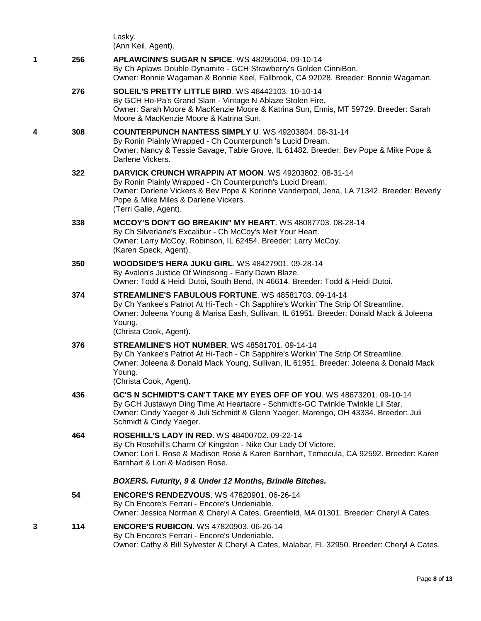|   |     | Lasky.<br>(Ann Keil, Agent).                                                                                                                                                                                                                                                    |
|---|-----|---------------------------------------------------------------------------------------------------------------------------------------------------------------------------------------------------------------------------------------------------------------------------------|
| 1 | 256 | <b>APLAWCINN'S SUGAR N SPICE. WS 48295004, 09-10-14</b><br>By Ch Aplaws Double Dynamite - GCH Strawberry's Golden CinniBon.<br>Owner: Bonnie Wagaman & Bonnie Keel, Fallbrook, CA 92028. Breeder: Bonnie Wagaman.                                                               |
|   | 276 | <b>SOLEIL'S PRETTY LITTLE BIRD. WS 48442103. 10-10-14</b><br>By GCH Ho-Pa's Grand Slam - Vintage N Ablaze Stolen Fire.<br>Owner: Sarah Moore & MacKenzie Moore & Katrina Sun, Ennis, MT 59729. Breeder: Sarah<br>Moore & MacKenzie Moore & Katrina Sun.                         |
| 4 | 308 | COUNTERPUNCH NANTESS SIMPLY U. WS 49203804. 08-31-14<br>By Ronin Plainly Wrapped - Ch Counterpunch 's Lucid Dream.<br>Owner: Nancy & Tessie Savage, Table Grove, IL 61482. Breeder: Bev Pope & Mike Pope &<br>Darlene Vickers.                                                  |
|   | 322 | DARVICK CRUNCH WRAPPIN AT MOON. WS 49203802. 08-31-14<br>By Ronin Plainly Wrapped - Ch Counterpunch's Lucid Dream.<br>Owner: Darlene Vickers & Bev Pope & Korinne Vanderpool, Jena, LA 71342. Breeder: Beverly<br>Pope & Mike Miles & Darlene Vickers.<br>(Terri Galle, Agent). |
|   | 338 | MCCOY'S DON'T GO BREAKIN" MY HEART. WS 48087703. 08-28-14<br>By Ch Silverlane's Excalibur - Ch McCoy's Melt Your Heart.<br>Owner: Larry McCoy, Robinson, IL 62454. Breeder: Larry McCoy.<br>(Karen Speck, Agent).                                                               |
|   | 350 | <b>WOODSIDE'S HERA JUKU GIRL. WS 48427901. 09-28-14</b><br>By Avalon's Justice Of Windsong - Early Dawn Blaze.<br>Owner: Todd & Heidi Dutoi, South Bend, IN 46614. Breeder: Todd & Heidi Dutoi.                                                                                 |
|   | 374 | STREAMLINE'S FABULOUS FORTUNE. WS 48581703. 09-14-14<br>By Ch Yankee's Patriot At Hi-Tech - Ch Sapphire's Workin' The Strip Of Streamline.<br>Owner: Joleena Young & Marisa Eash, Sullivan, IL 61951. Breeder: Donald Mack & Joleena<br>Young.<br>(Christa Cook, Agent).        |
|   | 376 | <b>STREAMLINE'S HOT NUMBER, WS 48581701, 09-14-14</b><br>By Ch Yankee's Patriot At Hi-Tech - Ch Sapphire's Workin' The Strip Of Streamline.<br>Owner: Joleena & Donald Mack Young, Sullivan, IL 61951. Breeder: Joleena & Donald Mack<br>Young.<br>(Christa Cook, Agent).       |
|   | 436 | GC'S N SCHMIDT'S CAN'T TAKE MY EYES OFF OF YOU. WS 48673201. 09-10-14<br>By GCH Justawyn Ding Time At Heartacre - Schmidt's-GC Twinkle Twinkle Lil Star.<br>Owner: Cindy Yaeger & Juli Schmidt & Glenn Yaeger, Marengo, OH 43334. Breeder: Juli<br>Schmidt & Cindy Yaeger.      |
|   | 464 | ROSEHILL'S LADY IN RED. WS 48400702. 09-22-14<br>By Ch Rosehill's Charm Of Kingston - Nike Our Lady Of Victore.<br>Owner: Lori L Rose & Madison Rose & Karen Barnhart, Temecula, CA 92592. Breeder: Karen<br>Barnhart & Lori & Madison Rose.                                    |
|   |     | BOXERS. Futurity, 9 & Under 12 Months, Brindle Bitches.                                                                                                                                                                                                                         |
|   | 54  | <b>ENCORE'S RENDEZVOUS.</b> WS 47820901. 06-26-14<br>By Ch Encore's Ferrari - Encore's Undeniable.<br>Owner: Jessica Norman & Cheryl A Cates, Greenfield, MA 01301. Breeder: Cheryl A Cates.                                                                                    |
| 3 | 114 | <b>ENCORE'S RUBICON. WS 47820903. 06-26-14</b><br>By Ch Encore's Ferrari - Encore's Undeniable.<br>Owner: Cathy & Bill Sylvester & Cheryl A Cates, Malabar, FL 32950. Breeder: Cheryl A Cates.                                                                                  |
|   |     |                                                                                                                                                                                                                                                                                 |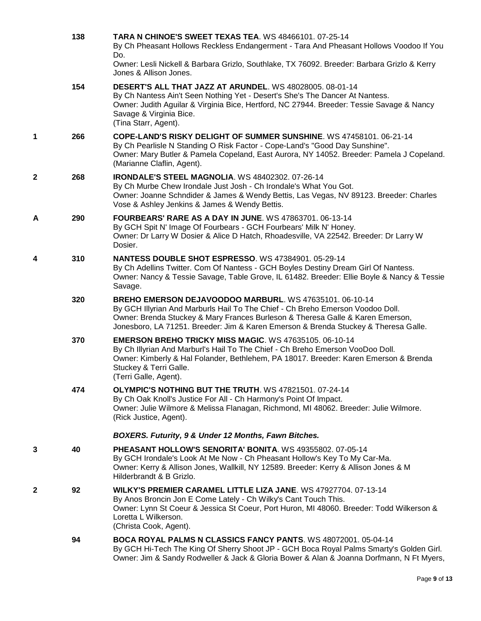|   | 138 | <b>TARA N CHINOE'S SWEET TEXAS TEA. WS 48466101. 07-25-14</b><br>By Ch Pheasant Hollows Reckless Endangerment - Tara And Pheasant Hollows Voodoo If You<br>Do.<br>Owner: Lesli Nickell & Barbara Grizlo, Southlake, TX 76092. Breeder: Barbara Grizlo & Kerry                                                      |
|---|-----|--------------------------------------------------------------------------------------------------------------------------------------------------------------------------------------------------------------------------------------------------------------------------------------------------------------------|
|   |     | Jones & Allison Jones.                                                                                                                                                                                                                                                                                             |
|   | 154 | DESERT'S ALL THAT JAZZ AT ARUNDEL. WS 48028005. 08-01-14<br>By Ch Nantess Ain't Seen Nothing Yet - Desert's She's The Dancer At Nantess.<br>Owner: Judith Aguilar & Virginia Bice, Hertford, NC 27944. Breeder: Tessie Savage & Nancy<br>Savage & Virginia Bice.<br>(Tina Starr, Agent).                           |
| 1 | 266 | COPE-LAND'S RISKY DELIGHT OF SUMMER SUNSHINE. WS 47458101. 06-21-14<br>By Ch Pearlisle N Standing O Risk Factor - Cope-Land's "Good Day Sunshine".<br>Owner: Mary Butler & Pamela Copeland, East Aurora, NY 14052. Breeder: Pamela J Copeland.<br>(Marianne Claflin, Agent).                                       |
| 2 | 268 | <b>IRONDALE'S STEEL MAGNOLIA. WS 48402302. 07-26-14</b><br>By Ch Murbe Chew Irondale Just Josh - Ch Irondale's What You Got.<br>Owner: Joanne Schndider & James & Wendy Bettis, Las Vegas, NV 89123. Breeder: Charles<br>Vose & Ashley Jenkins & James & Wendy Bettis.                                             |
| A | 290 | <b>FOURBEARS' RARE AS A DAY IN JUNE. WS 47863701. 06-13-14</b><br>By GCH Spit N' Image Of Fourbears - GCH Fourbears' Milk N' Honey.<br>Owner: Dr Larry W Dosier & Alice D Hatch, Rhoadesville, VA 22542. Breeder: Dr Larry W<br>Dosier.                                                                            |
| 4 | 310 | NANTESS DOUBLE SHOT ESPRESSO. WS 47384901. 05-29-14<br>By Ch Adellins Twitter. Com Of Nantess - GCH Boyles Destiny Dream Girl Of Nantess.<br>Owner: Nancy & Tessie Savage, Table Grove, IL 61482. Breeder: Ellie Boyle & Nancy & Tessie<br>Savage.                                                                 |
|   | 320 | BREHO EMERSON DEJAVOODOO MARBURL. WS 47635101. 06-10-14<br>By GCH Illyrian And Marburls Hail To The Chief - Ch Breho Emerson Voodoo Doll.<br>Owner: Brenda Stuckey & Mary Frances Burleson & Theresa Galle & Karen Emerson,<br>Jonesboro, LA 71251. Breeder: Jim & Karen Emerson & Brenda Stuckey & Theresa Galle. |
|   | 370 | <b>EMERSON BREHO TRICKY MISS MAGIC. WS 47635105. 06-10-14</b><br>By Ch Illyrian And Marburl's Hail To The Chief - Ch Breho Emerson VooDoo Doll.<br>Owner: Kimberly & Hal Folander, Bethlehem, PA 18017. Breeder: Karen Emerson & Brenda<br>Stuckey & Terri Galle.<br>(Terri Galle, Agent).                         |
|   | 474 | <b>OLYMPIC'S NOTHING BUT THE TRUTH. WS 47821501. 07-24-14</b><br>By Ch Oak Knoll's Justice For All - Ch Harmony's Point Of Impact.<br>Owner: Julie Wilmore & Melissa Flanagan, Richmond, MI 48062. Breeder: Julie Wilmore.<br>(Rick Justice, Agent).                                                               |
|   |     | BOXERS. Futurity, 9 & Under 12 Months, Fawn Bitches.                                                                                                                                                                                                                                                               |
| 3 | 40  | PHEASANT HOLLOW'S SENORITA' BONITA. WS 49355802. 07-05-14<br>By GCH Irondale's Look At Me Now - Ch Pheasant Hollow's Key To My Car-Ma.<br>Owner: Kerry & Allison Jones, Wallkill, NY 12589. Breeder: Kerry & Allison Jones & M<br>Hilderbrandt & B Grizlo.                                                         |
| 2 | 92  | WILKY'S PREMIER CARAMEL LITTLE LIZA JANE, WS 47927704, 07-13-14<br>By Anos Broncin Jon E Come Lately - Ch Wilky's Cant Touch This.<br>Owner: Lynn St Coeur & Jessica St Coeur, Port Huron, MI 48060. Breeder: Todd Wilkerson &<br>Loretta L Wilkerson.<br>(Christa Cook, Agent).                                   |
|   | 94  | <b>BOCA ROYAL PALMS N CLASSICS FANCY PANTS. WS 48072001. 05-04-14</b><br>By GCH Hi-Tech The King Of Sherry Shoot JP - GCH Boca Royal Palms Smarty's Golden Girl.<br>Owner: Jim & Sandy Rodweller & Jack & Gloria Bower & Alan & Joanna Dorfmann, N Ft Myers,                                                       |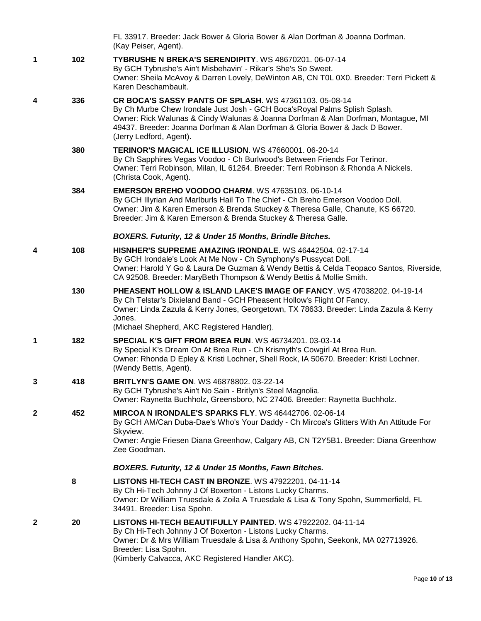|              |     | FL 33917. Breeder: Jack Bower & Gloria Bower & Alan Dorfman & Joanna Dorfman.<br>(Kay Peiser, Agent).                                                                                                                                                                                                                                 |
|--------------|-----|---------------------------------------------------------------------------------------------------------------------------------------------------------------------------------------------------------------------------------------------------------------------------------------------------------------------------------------|
| 1            | 102 | TYBRUSHE N BREKA'S SERENDIPITY. WS 48670201. 06-07-14<br>By GCH Tybrushe's Ain't Misbehavin' - Rikar's She's So Sweet.<br>Owner: Sheila McAvoy & Darren Lovely, DeWinton AB, CN T0L 0X0. Breeder: Terri Pickett &<br>Karen Deschambault.                                                                                              |
| 4            | 336 | CR BOCA'S SASSY PANTS OF SPLASH. WS 47361103. 05-08-14<br>By Ch Murbe Chew Irondale Just Josh - GCH Boca's Royal Palms Splish Splash.<br>Owner: Rick Walunas & Cindy Walunas & Joanna Dorfman & Alan Dorfman, Montague, MI<br>49437. Breeder: Joanna Dorfman & Alan Dorfman & Gloria Bower & Jack D Bower.<br>(Jerry Ledford, Agent). |
|              | 380 | <b>TERINOR'S MAGICAL ICE ILLUSION. WS 47660001. 06-20-14</b><br>By Ch Sapphires Vegas Voodoo - Ch Burlwood's Between Friends For Terinor.<br>Owner: Terri Robinson, Milan, IL 61264. Breeder: Terri Robinson & Rhonda A Nickels.<br>(Christa Cook, Agent).                                                                            |
|              | 384 | <b>EMERSON BREHO VOODOO CHARM.</b> WS 47635103, 06-10-14<br>By GCH Illyrian And Marlburls Hail To The Chief - Ch Breho Emerson Voodoo Doll.<br>Owner: Jim & Karen Emerson & Brenda Stuckey & Theresa Galle, Chanute, KS 66720.<br>Breeder: Jim & Karen Emerson & Brenda Stuckey & Theresa Galle.                                      |
|              |     | BOXERS. Futurity, 12 & Under 15 Months, Brindle Bitches.                                                                                                                                                                                                                                                                              |
| 4            | 108 | HISNHER'S SUPREME AMAZING IRONDALE. WS 46442504. 02-17-14<br>By GCH Irondale's Look At Me Now - Ch Symphony's Pussycat Doll.<br>Owner: Harold Y Go & Laura De Guzman & Wendy Bettis & Celda Teopaco Santos, Riverside,<br>CA 92508. Breeder: MaryBeth Thompson & Wendy Bettis & Mollie Smith.                                         |
|              | 130 | <b>PHEASENT HOLLOW &amp; ISLAND LAKE'S IMAGE OF FANCY.</b> WS 47038202. 04-19-14<br>By Ch Telstar's Dixieland Band - GCH Pheasent Hollow's Flight Of Fancy.<br>Owner: Linda Zazula & Kerry Jones, Georgetown, TX 78633. Breeder: Linda Zazula & Kerry<br>Jones.<br>(Michael Shepherd, AKC Registered Handler).                        |
| $\mathbf 1$  | 182 | <b>SPECIAL K'S GIFT FROM BREA RUN. WS 46734201, 03-03-14</b><br>By Special K's Dream On At Brea Run - Ch Krismyth's Cowgirl At Brea Run.<br>Owner: Rhonda D Epley & Kristi Lochner, Shell Rock, IA 50670. Breeder: Kristi Lochner.<br>(Wendy Bettis, Agent).                                                                          |
| 3            | 418 | <b>BRITLYN'S GAME ON. WS 46878802. 03-22-14</b><br>By GCH Tybrushe's Ain't No Sain - Britlyn's Steel Magnolia.<br>Owner: Raynetta Buchholz, Greensboro, NC 27406. Breeder: Raynetta Buchholz.                                                                                                                                         |
| $\mathbf{2}$ | 452 | <b>MIRCOA N IRONDALE'S SPARKS FLY. WS 46442706. 02-06-14</b><br>By GCH AM/Can Duba-Dae's Who's Your Daddy - Ch Mircoa's Glitters With An Attitude For<br>Skyview.<br>Owner: Angie Friesen Diana Greenhow, Calgary AB, CN T2Y5B1. Breeder: Diana Greenhow<br>Zee Goodman.                                                              |
|              |     | BOXERS. Futurity, 12 & Under 15 Months, Fawn Bitches.                                                                                                                                                                                                                                                                                 |
|              | 8   | LISTONS HI-TECH CAST IN BRONZE. WS 47922201. 04-11-14<br>By Ch Hi-Tech Johnny J Of Boxerton - Listons Lucky Charms.<br>Owner: Dr William Truesdale & Zoila A Truesdale & Lisa & Tony Spohn, Summerfield, FL<br>34491. Breeder: Lisa Spohn.                                                                                            |
| 2            | 20  | LISTONS HI-TECH BEAUTIFULLY PAINTED. WS 47922202. 04-11-14<br>By Ch Hi-Tech Johnny J Of Boxerton - Listons Lucky Charms.<br>Owner: Dr & Mrs William Truesdale & Lisa & Anthony Spohn, Seekonk, MA 027713926.<br>Breeder: Lisa Spohn.<br>(Kimberly Calvacca, AKC Registered Handler AKC).                                              |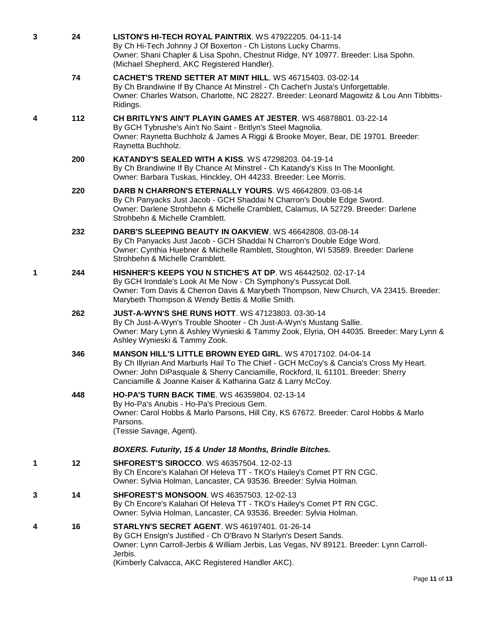| 3 | 24  | LISTON'S HI-TECH ROYAL PAINTRIX. WS 47922205. 04-11-14<br>By Ch Hi-Tech Johnny J Of Boxerton - Ch Listons Lucky Charms.<br>Owner: Shani Chapler & Lisa Spohn, Chestnut Ridge, NY 10977. Breeder: Lisa Spohn.<br>(Michael Shepherd, AKC Registered Handler).                                              |
|---|-----|----------------------------------------------------------------------------------------------------------------------------------------------------------------------------------------------------------------------------------------------------------------------------------------------------------|
|   | 74  | CACHET'S TREND SETTER AT MINT HILL. WS 46715403. 03-02-14<br>By Ch Brandiwine If By Chance At Minstrel - Ch Cachet'n Justa's Unforgettable.<br>Owner: Charles Watson, Charlotte, NC 28227. Breeder: Leonard Magowitz & Lou Ann Tibbitts-<br>Ridings.                                                     |
| 4 | 112 | CH BRITLYN'S AIN'T PLAYIN GAMES AT JESTER. WS 46878801. 03-22-14<br>By GCH Tybrushe's Ain't No Saint - Britlyn's Steel Magnolia.<br>Owner: Raynetta Buchholz & James A Riggi & Brooke Moyer, Bear, DE 19701. Breeder:<br>Raynetta Buchholz.                                                              |
|   | 200 | <b>KATANDY'S SEALED WITH A KISS. WS 47298203. 04-19-14</b><br>By Ch Brandiwine If By Chance At Minstrel - Ch Katandy's Kiss In The Moonlight.<br>Owner: Barbara Tuskas, Hinckley, OH 44233. Breeder: Lee Morris.                                                                                         |
|   | 220 | DARB N CHARRON'S ETERNALLY YOURS. WS 46642809. 03-08-14<br>By Ch Panyacks Just Jacob - GCH Shaddai N Charron's Double Edge Sword.<br>Owner: Darlene Strohbehn & Michelle Cramblett, Calamus, IA 52729. Breeder: Darlene<br>Strohbehn & Michelle Cramblett.                                               |
|   | 232 | DARB'S SLEEPING BEAUTY IN OAKVIEW. WS 46642808. 03-08-14<br>By Ch Panyacks Just Jacob - GCH Shaddai N Charron's Double Edge Word.<br>Owner: Cynthia Huebner & Michelle Ramblett, Stoughton, WI 53589. Breeder: Darlene<br>Strohbehn & Michelle Cramblett.                                                |
| 1 | 244 | <b>HISNHER'S KEEPS YOU N STICHE'S AT DP. WS 46442502. 02-17-14</b><br>By GCH Irondale's Look At Me Now - Ch Symphony's Pussycat Doll.<br>Owner: Tom Davis & Cherron Davis & Marybeth Thompson, New Church, VA 23415. Breeder:<br>Marybeth Thompson & Wendy Bettis & Mollie Smith.                        |
|   | 262 | <b>JUST-A-WYN'S SHE RUNS HOTT. WS 47123803. 03-30-14</b><br>By Ch Just-A-Wyn's Trouble Shooter - Ch Just-A-Wyn's Mustang Sallie.<br>Owner: Mary Lynn & Ashley Wynieski & Tammy Zook, Elyria, OH 44035. Breeder: Mary Lynn &<br>Ashley Wynieski & Tammy Zook.                                             |
|   | 346 | MANSON HILL'S LITTLE BROWN EYED GIRL. WS 47017102. 04-04-14<br>By Ch Illyrian And Marburls Hail To The Chief - GCH McCoy's & Cancia's Cross My Heart.<br>Owner: John DiPasquale & Sherry Canciamille, Rockford, IL 61101. Breeder: Sherry<br>Canciamille & Joanne Kaiser & Katharina Gatz & Larry McCoy. |
|   | 448 | <b>HO-PA'S TURN BACK TIME. WS 46359804. 02-13-14</b><br>By Ho-Pa's Anubis - Ho-Pa's Precious Gem.<br>Owner: Carol Hobbs & Marlo Parsons, Hill City, KS 67672. Breeder: Carol Hobbs & Marlo<br>Parsons.<br>(Tessie Savage, Agent).                                                                        |
|   |     | BOXERS. Futurity, 15 & Under 18 Months, Brindle Bitches.                                                                                                                                                                                                                                                 |
| 1 | 12  | <b>SHFOREST'S SIROCCO. WS 46357504. 12-02-13</b><br>By Ch Encore's Kalahari Of Heleva TT - TKO's Hailey's Comet PT RN CGC.<br>Owner: Sylvia Holman, Lancaster, CA 93536. Breeder: Sylvia Holman.                                                                                                         |
| 3 | 14  | <b>SHFOREST'S MONSOON. WS 46357503. 12-02-13</b><br>By Ch Encore's Kalahari Of Heleva TT - TKO's Hailey's Comet PT RN CGC.<br>Owner: Sylvia Holman, Lancaster, CA 93536. Breeder: Sylvia Holman.                                                                                                         |
| 4 | 16  | <b>STARLYN'S SECRET AGENT. WS 46197401. 01-26-14</b><br>By GCH Ensign's Justified - Ch O'Bravo N Starlyn's Desert Sands.<br>Owner: Lynn Carroll-Jerbis & William Jerbis, Las Vegas, NV 89121. Breeder: Lynn Carroll-<br>Jerbis.<br>(Kimberly Calvacca, AKC Registered Handler AKC).                      |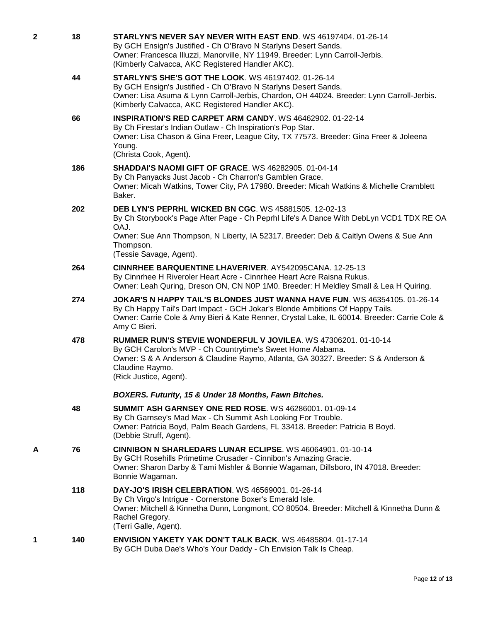| 2 | 18  | STARLYN'S NEVER SAY NEVER WITH EAST END. WS 46197404. 01-26-14<br>By GCH Ensign's Justified - Ch O'Bravo N Starlyns Desert Sands.<br>Owner: Francesca Illuzzi, Manorville, NY 11949. Breeder: Lynn Carroll-Jerbis.<br>(Kimberly Calvacca, AKC Registered Handler AKC).                   |
|---|-----|------------------------------------------------------------------------------------------------------------------------------------------------------------------------------------------------------------------------------------------------------------------------------------------|
|   | 44  | <b>STARLYN'S SHE'S GOT THE LOOK. WS 46197402. 01-26-14</b><br>By GCH Ensign's Justified - Ch O'Bravo N Starlyns Desert Sands.<br>Owner: Lisa Asuma & Lynn Carroll-Jerbis, Chardon, OH 44024. Breeder: Lynn Carroll-Jerbis.<br>(Kimberly Calvacca, AKC Registered Handler AKC).           |
|   | 66  | <b>INSPIRATION'S RED CARPET ARM CANDY. WS 46462902. 01-22-14</b><br>By Ch Firestar's Indian Outlaw - Ch Inspiration's Pop Star.<br>Owner: Lisa Chason & Gina Freer, League City, TX 77573. Breeder: Gina Freer & Joleena<br>Young.<br>(Christa Cook, Agent).                             |
|   | 186 | <b>SHADDAI'S NAOMI GIFT OF GRACE. WS 46282905. 01-04-14</b><br>By Ch Panyacks Just Jacob - Ch Charron's Gamblen Grace.<br>Owner: Micah Watkins, Tower City, PA 17980. Breeder: Micah Watkins & Michelle Cramblett<br>Baker.                                                              |
|   | 202 | DEB LYN'S PEPRHL WICKED BN CGC. WS 45881505. 12-02-13<br>By Ch Storybook's Page After Page - Ch Peprhl Life's A Dance With DebLyn VCD1 TDX RE OA<br>OAJ.<br>Owner: Sue Ann Thompson, N Liberty, IA 52317. Breeder: Deb & Caitlyn Owens & Sue Ann<br>Thompson.<br>(Tessie Savage, Agent). |
|   | 264 | <b>CINNRHEE BARQUENTINE LHAVERIVER. AY542095CANA. 12-25-13</b><br>By Cinnrhee H Riveroler Heart Acre - Cinnrhee Heart Acre Raisna Rukus.<br>Owner: Leah Quring, Dreson ON, CN N0P 1M0. Breeder: H Meldley Small & Lea H Quiring.                                                         |
|   | 274 | JOKAR'S N HAPPY TAIL'S BLONDES JUST WANNA HAVE FUN. WS 46354105. 01-26-14<br>By Ch Happy Tail's Dart Impact - GCH Jokar's Blonde Ambitions Of Happy Tails.<br>Owner: Carrie Cole & Amy Bieri & Kate Renner, Crystal Lake, IL 60014. Breeder: Carrie Cole &<br>Amy C Bieri.               |
|   | 478 | RUMMER RUN'S STEVIE WONDERFUL V JOVILEA. WS 47306201. 01-10-14<br>By GCH Carolon's MVP - Ch Countrytime's Sweet Home Alabama.<br>Owner: S & A Anderson & Claudine Raymo, Atlanta, GA 30327. Breeder: S & Anderson &<br>Claudine Raymo.<br>(Rick Justice, Agent).                         |
|   |     | BOXERS. Futurity, 15 & Under 18 Months, Fawn Bitches.                                                                                                                                                                                                                                    |
|   | 48  | <b>SUMMIT ASH GARNSEY ONE RED ROSE, WS 46286001, 01-09-14</b><br>By Ch Garnsey's Mad Max - Ch Summit Ash Looking For Trouble.<br>Owner: Patricia Boyd, Palm Beach Gardens, FL 33418. Breeder: Patricia B Boyd.<br>(Debbie Struff, Agent).                                                |
| Α | 76  | <b>CINNIBON N SHARLEDARS LUNAR ECLIPSE. WS 46064901. 01-10-14</b><br>By GCH Rosehills Primetime Crusader - Cinnibon's Amazing Gracie.<br>Owner: Sharon Darby & Tami Mishler & Bonnie Wagaman, Dillsboro, IN 47018. Breeder:<br>Bonnie Wagaman.                                           |
|   | 118 | <b>DAY-JO'S IRISH CELEBRATION. WS 46569001. 01-26-14</b><br>By Ch Virgo's Intrigue - Cornerstone Boxer's Emerald Isle.<br>Owner: Mitchell & Kinnetha Dunn, Longmont, CO 80504. Breeder: Mitchell & Kinnetha Dunn &<br>Rachel Gregory.<br>(Terri Galle, Agent).                           |
| 1 | 140 | ENVISION YAKETY YAK DON'T TALK BACK. WS 46485804. 01-17-14<br>By GCH Duba Dae's Who's Your Daddy - Ch Envision Talk Is Cheap.                                                                                                                                                            |